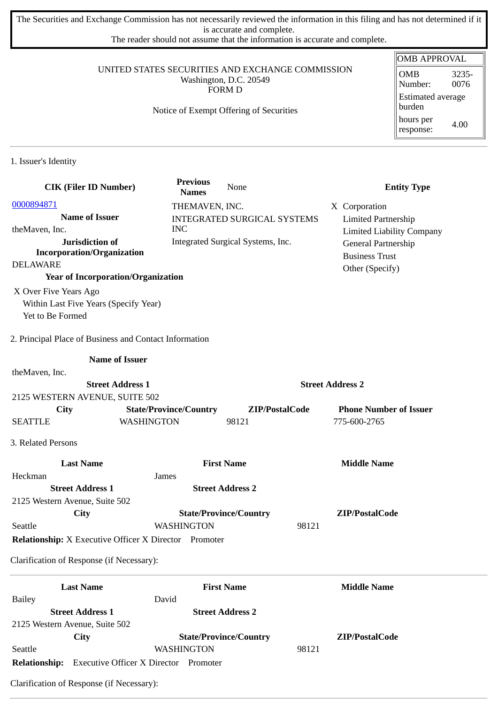The Securities and Exchange Commission has not necessarily reviewed the information in this filing and has not determined if it is accurate and complete.

The reader should not assume that the information is accurate and complete.

### UNITED STATES SECURITIES AND EXCHANGE COMMISSION Washington, D.C. 20549 FORM D

# Notice of Exempt Offering of Securities

| OMB APPROVAL                         |               |  |  |
|--------------------------------------|---------------|--|--|
| <b>OMB</b><br>Number:                | 3235-<br>0076 |  |  |
| <b>Estimated average</b><br>  burden |               |  |  |
| hours per<br>response:               | 4.00          |  |  |

1. Issuer's Identity

| <b>CIK (Filer ID Number)</b>                                 | <b>Previous</b><br><b>Names</b> | None                               | <b>Entity Type</b>               |
|--------------------------------------------------------------|---------------------------------|------------------------------------|----------------------------------|
| 0000894871                                                   | THEMAVEN, INC.                  |                                    | X Corporation                    |
| <b>Name of Issuer</b>                                        |                                 | <b>INTEGRATED SURGICAL SYSTEMS</b> | <b>Limited Partnership</b>       |
| theMaven, Inc.                                               | <b>INC</b>                      |                                    | <b>Limited Liability Company</b> |
| Jurisdiction of                                              |                                 | Integrated Surgical Systems, Inc.  | General Partnership              |
| <b>Incorporation/Organization</b>                            |                                 |                                    | <b>Business Trust</b>            |
| <b>DELAWARE</b>                                              |                                 |                                    | Other (Specify)                  |
| <b>Year of Incorporation/Organization</b>                    |                                 |                                    |                                  |
| X Over Five Years Ago                                        |                                 |                                    |                                  |
| Within Last Five Years (Specify Year)                        |                                 |                                    |                                  |
| Yet to Be Formed                                             |                                 |                                    |                                  |
| 2. Principal Place of Business and Contact Information       |                                 |                                    |                                  |
| <b>Name of Issuer</b>                                        |                                 |                                    |                                  |
| theMaven, Inc.                                               |                                 |                                    |                                  |
| <b>Street Address 1</b>                                      |                                 |                                    | <b>Street Address 2</b>          |
| 2125 WESTERN AVENUE, SUITE 502                               |                                 |                                    |                                  |
| City                                                         | <b>State/Province/Country</b>   | ZIP/PostalCode                     | <b>Phone Number of Issuer</b>    |
| <b>WASHINGTON</b><br><b>SEATTLE</b>                          |                                 | 98121                              | 775-600-2765                     |
| 3. Related Persons                                           |                                 |                                    |                                  |
| <b>Last Name</b>                                             |                                 | <b>First Name</b>                  | <b>Middle Name</b>               |
| Heckman<br>James                                             |                                 |                                    |                                  |
| <b>Street Address 1</b>                                      |                                 | <b>Street Address 2</b>            |                                  |
| 2125 Western Avenue, Suite 502                               |                                 |                                    |                                  |
| City                                                         |                                 | <b>State/Province/Country</b>      | ZIP/PostalCode                   |
| Seattle                                                      | <b>WASHINGTON</b>               | 98121                              |                                  |
| <b>Relationship:</b> X Executive Officer X Director Promoter |                                 |                                    |                                  |
| Clarification of Response (if Necessary):                    |                                 |                                    |                                  |
| <b>Last Name</b>                                             |                                 | <b>First Name</b>                  | <b>Middle Name</b>               |
| David<br><b>Bailey</b>                                       |                                 |                                    |                                  |
| <b>Street Address 1</b>                                      |                                 | <b>Street Address 2</b>            |                                  |
| 2125 Western Avenue, Suite 502                               |                                 |                                    |                                  |
| <b>City</b>                                                  |                                 | <b>State/Province/Country</b>      | ZIP/PostalCode                   |
| Seattle                                                      | <b>WASHINGTON</b>               | 98121                              |                                  |
| Relationship: Executive Officer X Director Promoter          |                                 |                                    |                                  |

Clarification of Response (if Necessary):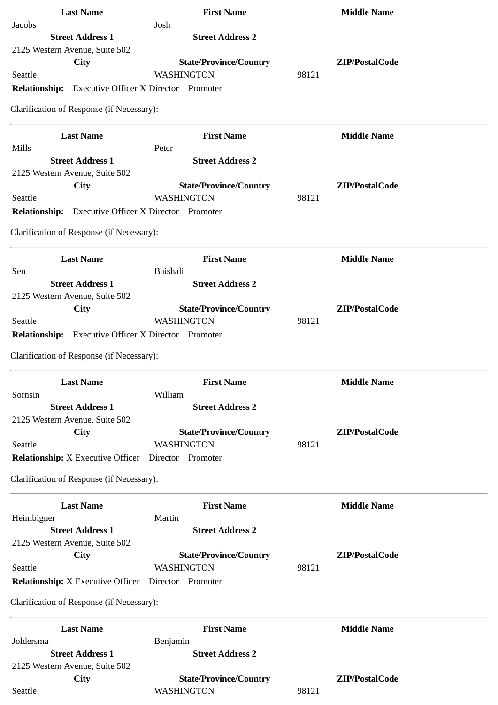| <b>Last Name</b>                                           | <b>First Name</b>                            | <b>Middle Name</b> |
|------------------------------------------------------------|----------------------------------------------|--------------------|
| Jacobs                                                     | Josh                                         |                    |
| <b>Street Address 1</b>                                    | <b>Street Address 2</b>                      |                    |
| 2125 Western Avenue, Suite 502                             |                                              |                    |
| City                                                       | <b>State/Province/Country</b>                | ZIP/PostalCode     |
| Seattle                                                    | WASHINGTON                                   | 98121              |
| <b>Relationship:</b> Executive Officer X Director Promoter |                                              |                    |
| Clarification of Response (if Necessary):                  |                                              |                    |
| <b>Last Name</b>                                           | <b>First Name</b>                            | <b>Middle Name</b> |
| Mills                                                      | Peter                                        |                    |
| <b>Street Address 1</b>                                    | <b>Street Address 2</b>                      |                    |
| 2125 Western Avenue, Suite 502                             |                                              | ZIP/PostalCode     |
| City<br>Seattle                                            | <b>State/Province/Country</b><br>WASHINGTON  | 98121              |
| <b>Relationship:</b>                                       | <b>Executive Officer X Director Promoter</b> |                    |
|                                                            |                                              |                    |
| Clarification of Response (if Necessary):                  |                                              |                    |
| <b>Last Name</b>                                           | <b>First Name</b>                            | <b>Middle Name</b> |
| Sen                                                        | <b>Baishali</b>                              |                    |
| <b>Street Address 1</b>                                    | <b>Street Address 2</b>                      |                    |
| 2125 Western Avenue, Suite 502                             |                                              |                    |
| City                                                       | <b>State/Province/Country</b>                | ZIP/PostalCode     |
| Seattle                                                    | WASHINGTON                                   | 98121              |
| <b>Relationship:</b>                                       | <b>Executive Officer X Director Promoter</b> |                    |
| Clarification of Response (if Necessary):                  |                                              |                    |
| <b>Last Name</b>                                           | <b>First Name</b>                            | <b>Middle Name</b> |
| Sornsin                                                    | William                                      |                    |
| <b>Street Address 1</b>                                    | <b>Street Address 2</b>                      |                    |
| 2125 Western Avenue, Suite 502                             |                                              |                    |
| City                                                       | <b>State/Province/Country</b>                | ZIP/PostalCode     |
| Seattle                                                    | <b>WASHINGTON</b>                            | 98121              |
| <b>Relationship:</b> X Executive Officer                   | Director Promoter                            |                    |
| Clarification of Response (if Necessary):                  |                                              |                    |
| <b>Last Name</b>                                           | <b>First Name</b>                            | <b>Middle Name</b> |
| Heimbigner                                                 | Martin                                       |                    |
| <b>Street Address 1</b>                                    | <b>Street Address 2</b>                      |                    |
| 2125 Western Avenue, Suite 502                             |                                              |                    |
| City                                                       | <b>State/Province/Country</b>                | ZIP/PostalCode     |
| Seattle                                                    | WASHINGTON                                   | 98121              |
| <b>Relationship:</b> X Executive Officer Director Promoter |                                              |                    |
| Clarification of Response (if Necessary):                  |                                              |                    |
| <b>Last Name</b>                                           | <b>First Name</b>                            | <b>Middle Name</b> |
| Joldersma                                                  | Benjamin                                     |                    |
| <b>Street Address 1</b>                                    | <b>Street Address 2</b>                      |                    |
| 2125 Western Avenue, Suite 502                             |                                              |                    |
| City                                                       | <b>State/Province/Country</b>                | ZIP/PostalCode     |
| Seattle                                                    | WASHINGTON                                   | 98121              |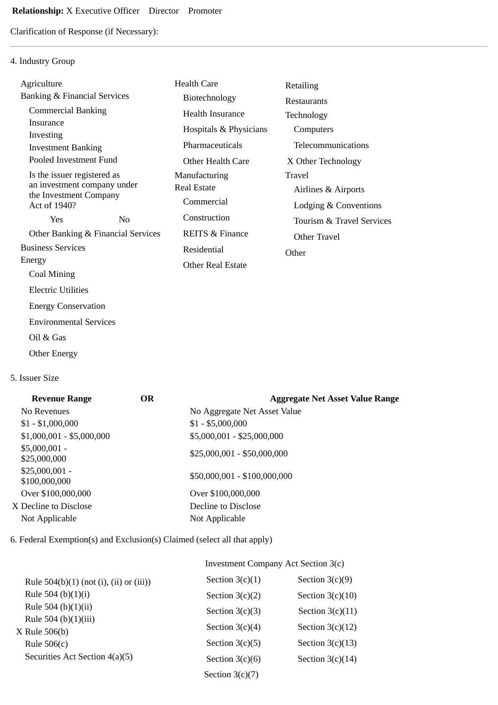Clarification of Response (if Necessary):

# 4. Industry Group

| Agriculture                             |    | <b>Health Care</b>         | Retailing                 |
|-----------------------------------------|----|----------------------------|---------------------------|
| <b>Banking &amp; Financial Services</b> |    | Biotechnology              | <b>Restaurants</b>        |
| <b>Commercial Banking</b>               |    | <b>Health Insurance</b>    | Technology                |
| Insurance                               |    | Hospitals & Physicians     | Computers                 |
| Investing<br><b>Investment Banking</b>  |    | Pharmaceuticals            | Telecommunications        |
| Pooled Investment Fund                  |    | Other Health Care          | X Other Technology        |
| Is the issuer registered as             |    | Manufacturing              | Travel                    |
| an investment company under             |    | <b>Real Estate</b>         | Airlines & Airports       |
| the Investment Company<br>Act of 1940?  |    | Commercial                 | Lodging & Conventions     |
| Yes                                     | No | Construction               | Tourism & Travel Services |
| Other Banking & Financial Services      |    | <b>REITS &amp; Finance</b> | Other Travel              |
| <b>Business Services</b>                |    | Residential                | Other                     |
| Energy                                  |    | Other Real Estate          |                           |
| Coal Mining                             |    |                            |                           |
| <b>Electric Utilities</b>               |    |                            |                           |
| <b>Energy Conservation</b>              |    |                            |                           |
| <b>Environmental Services</b>           |    |                            |                           |
| Oil & Gas                               |    |                            |                           |

Other Energy

## 5. Issuer Size

| <b>Revenue Range</b>             | <b>OR</b> | <b>Aggregate Net Asset Value Range</b> |
|----------------------------------|-----------|----------------------------------------|
| No Revenues                      |           | No Aggregate Net Asset Value           |
| $$1 - $1,000,000$                |           | $$1 - $5,000,000$                      |
| $$1,000,001 - $5,000,000$        |           | \$5,000,001 - \$25,000,000             |
| $$5,000,001 -$<br>\$25,000,000   |           | $$25,000,001 - $50,000,000$            |
| $$25,000,001 -$<br>\$100,000,000 |           | \$50,000,001 - \$100,000,000           |
| Over \$100,000,000               |           | Over \$100,000,000                     |
| X Decline to Disclose            |           | Decline to Disclose                    |
| Not Applicable                   |           | Not Applicable                         |
|                                  |           |                                        |

6. Federal Exemption(s) and Exclusion(s) Claimed (select all that apply)

|                                            | Investment Company Act Section 3(c) |                    |  |
|--------------------------------------------|-------------------------------------|--------------------|--|
| Rule $504(b)(1)$ (not (i), (ii) or (iii))  | Section $3(c)(1)$                   | Section $3(c)(9)$  |  |
| Rule 504 (b) $(1)(i)$                      | Section $3(c)(2)$                   | Section $3(c)(10)$ |  |
| Rule 504 (b) $(1)(ii)$                     | Section $3(c)(3)$                   | Section $3(c)(11)$ |  |
| Rule 504 (b) $(1)(iii)$<br>$X$ Rule 506(b) | Section $3(c)(4)$                   | Section $3(c)(12)$ |  |
| Rule $506(c)$                              | Section $3(c)(5)$                   | Section $3(c)(13)$ |  |
| Securities Act Section 4(a)(5)             | Section $3(c)(6)$                   | Section $3(c)(14)$ |  |
|                                            | Section $3(c)(7)$                   |                    |  |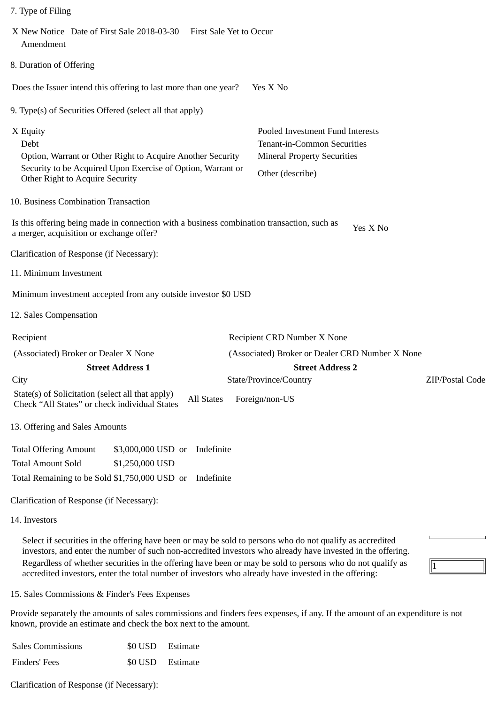| X New Notice Date of First Sale 2018-03-30 First Sale Yet to Occur<br>Amendment                   |                                                                                                                           |                   |                                                                                                                           |                 |
|---------------------------------------------------------------------------------------------------|---------------------------------------------------------------------------------------------------------------------------|-------------------|---------------------------------------------------------------------------------------------------------------------------|-----------------|
| 8. Duration of Offering                                                                           |                                                                                                                           |                   |                                                                                                                           |                 |
| Does the Issuer intend this offering to last more than one year?                                  |                                                                                                                           |                   | Yes X No                                                                                                                  |                 |
| 9. Type(s) of Securities Offered (select all that apply)                                          |                                                                                                                           |                   |                                                                                                                           |                 |
| X Equity<br>Debt<br>Other Right to Acquire Security                                               | Option, Warrant or Other Right to Acquire Another Security<br>Security to be Acquired Upon Exercise of Option, Warrant or |                   | Pooled Investment Fund Interests<br>Tenant-in-Common Securities<br><b>Mineral Property Securities</b><br>Other (describe) |                 |
| 10. Business Combination Transaction                                                              |                                                                                                                           |                   |                                                                                                                           |                 |
| a merger, acquisition or exchange offer?                                                          |                                                                                                                           |                   | Is this offering being made in connection with a business combination transaction, such as<br>Yes X No                    |                 |
| Clarification of Response (if Necessary):                                                         |                                                                                                                           |                   |                                                                                                                           |                 |
| 11. Minimum Investment                                                                            |                                                                                                                           |                   |                                                                                                                           |                 |
| Minimum investment accepted from any outside investor \$0 USD                                     |                                                                                                                           |                   |                                                                                                                           |                 |
| 12. Sales Compensation                                                                            |                                                                                                                           |                   |                                                                                                                           |                 |
| Recipient                                                                                         |                                                                                                                           |                   | Recipient CRD Number X None                                                                                               |                 |
| (Associated) Broker or Dealer X None                                                              |                                                                                                                           |                   | (Associated) Broker or Dealer CRD Number X None                                                                           |                 |
|                                                                                                   | <b>Street Address 1</b>                                                                                                   |                   | <b>Street Address 2</b>                                                                                                   |                 |
| City                                                                                              |                                                                                                                           |                   | State/Province/Country                                                                                                    | ZIP/Postal Code |
| State(s) of Solicitation (select all that apply)<br>Check "All States" or check individual States |                                                                                                                           | <b>All States</b> | Foreign/non-US                                                                                                            |                 |
| 13. Offering and Sales Amounts                                                                    |                                                                                                                           |                   |                                                                                                                           |                 |
| <b>Total Offering Amount</b>                                                                      | \$3,000,000 USD or                                                                                                        | Indefinite        |                                                                                                                           |                 |
| <b>Total Amount Sold</b>                                                                          | \$1,250,000 USD                                                                                                           |                   |                                                                                                                           |                 |
| Total Remaining to be Sold \$1,750,000 USD or                                                     |                                                                                                                           | Indefinite        |                                                                                                                           |                 |
| Clarification of Response (if Necessary):                                                         |                                                                                                                           |                   |                                                                                                                           |                 |
| 14. Investors                                                                                     |                                                                                                                           |                   |                                                                                                                           |                 |
|                                                                                                   |                                                                                                                           |                   | Select if securities in the offering have been or may be sold to persons who do not qualify as accredited                 |                 |

Select if securities in the offering have been or may be sold to persons who do not qualify as accredited investors, and enter the number of such non-accredited investors who already have invested in the offering. Regardless of whether securities in the offering have been or may be sold to persons who do not qualify as accredited investors, enter the total number of investors who already have invested in the offering:

 $\sqrt{1}$ 

15. Sales Commissions & Finder's Fees Expenses

7. Type of Filing

Provide separately the amounts of sales commissions and finders fees expenses, if any. If the amount of an expenditure is not known, provide an estimate and check the box next to the amount.

| <b>Sales Commissions</b> | \$0 USD Estimate |
|--------------------------|------------------|
| Finders' Fees            | \$0 USD Estimate |

Clarification of Response (if Necessary):